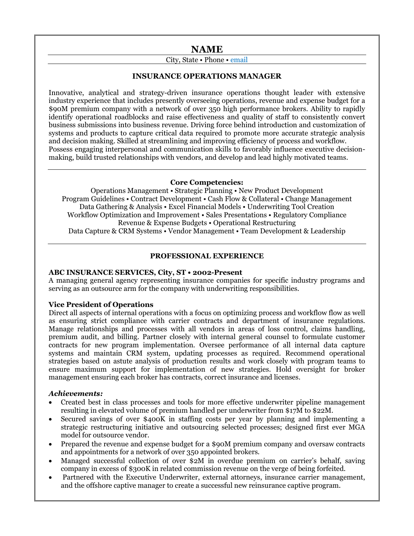## **NAME**

## City, State • Phone • email

## **INSURANCE OPERATIONS MANAGER**

Innovative, analytical and strategy-driven insurance operations thought leader with extensive industry experience that includes presently overseeing operations, revenue and expense budget for a \$90M premium company with a network of over 350 high performance brokers. Ability to rapidly identify operational roadblocks and raise effectiveness and quality of staff to consistently convert business submissions into business revenue. Driving force behind introduction and customization of systems and products to capture critical data required to promote more accurate strategic analysis and decision making. Skilled at streamlining and improving efficiency of process and workflow. Possess engaging interpersonal and communication skills to favorably influence executive decisionmaking, build trusted relationships with vendors, and develop and lead highly motivated teams.

#### **Core Competencies:**

Operations Management • Strategic Planning • New Product Development Program Guidelines • Contract Development • Cash Flow & Collateral • Change Management Data Gathering & Analysis • Excel Financial Models • Underwriting Tool Creation Workflow Optimization and Improvement • Sales Presentations • Regulatory Compliance Revenue & Expense Budgets • Operational Restructuring Data Capture & CRM Systems • Vendor Management • Team Development & Leadership

## **PROFESSIONAL EXPERIENCE**

#### **ABC INSURANCE SERVICES, City, ST • 2002-Present**

A managing general agency representing insurance companies for specific industry programs and serving as an outsource arm for the company with underwriting responsibilities.

#### **Vice President of Operations**

Direct all aspects of internal operations with a focus on optimizing process and workflow flow as well as ensuring strict compliance with carrier contracts and department of insurance regulations. Manage relationships and processes with all vendors in areas of loss control, claims handling, premium audit, and billing. Partner closely with internal general counsel to formulate customer contracts for new program implementation. Oversee performance of all internal data capture systems and maintain CRM system, updating processes as required. Recommend operational strategies based on astute analysis of production results and work closely with program teams to ensure maximum support for implementation of new strategies. Hold oversight for broker management ensuring each broker has contracts, correct insurance and licenses.

#### *Achievements:*

- Created best in class processes and tools for more effective underwriter pipeline management resulting in elevated volume of premium handled per underwriter from \$17M to \$22M.
- Secured savings of over \$400K in staffing costs per year by planning and implementing a strategic restructuring initiative and outsourcing selected processes; designed first ever MGA model for outsource vendor.
- Prepared the revenue and expense budget for a \$90M premium company and oversaw contracts and appointments for a network of over 350 appointed brokers.
- Managed successful collection of over \$2M in overdue premium on carrier's behalf, saving company in excess of \$300K in related commission revenue on the verge of being forfeited.
- Partnered with the Executive Underwriter, external attorneys, insurance carrier management, and the offshore captive manager to create a successful new reinsurance captive program.